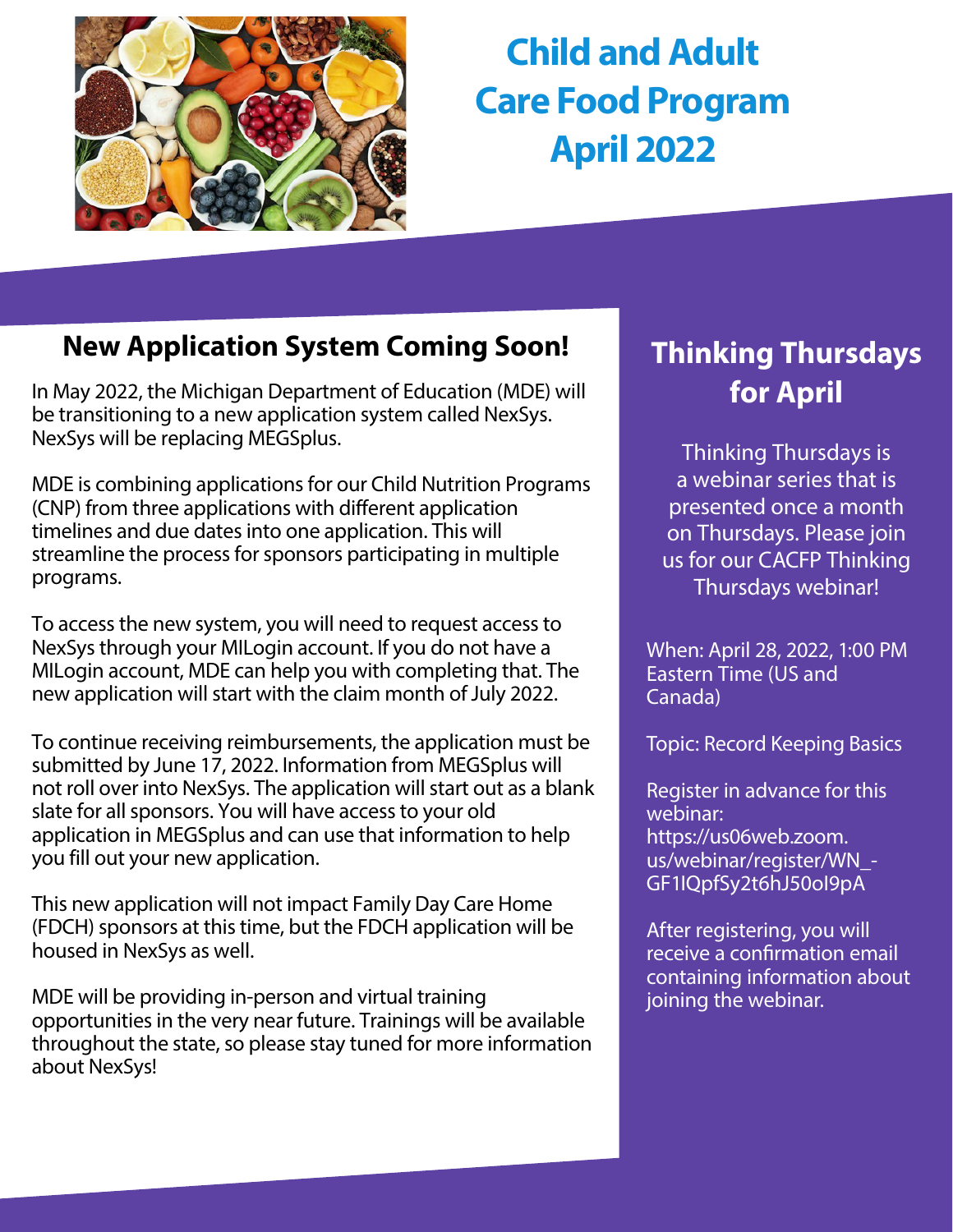

# **Child and Adult Care Food Program April 2022**

## **New Application System Coming Soon!**

In May 2022, the Michigan Department of Education (MDE) will be transitioning to a new application system called NexSys. NexSys will be replacing MEGSplus.

MDE is combining applications for our Child Nutrition Programs (CNP) from three applications with different application timelines and due dates into one application. This will streamline the process for sponsors participating in multiple programs.

To access the new system, you will need to request access to NexSys through your MILogin account. If you do not have a MILogin account, MDE can help you with completing that. The new application will start with the claim month of July 2022.

To continue receiving reimbursements, the application must be submitted by June 17, 2022. Information from MEGSplus will not roll over into NexSys. The application will start out as a blank slate for all sponsors. You will have access to your old application in MEGSplus and can use that information to help you fill out your new application.

This new application will not impact Family Day Care Home (FDCH) sponsors at this time, but the FDCH application will be housed in NexSys as well.

MDE will be providing in-person and virtual training opportunities in the very near future. Trainings will be available throughout the state, so please stay tuned for more information about NexSys!

## **Thinking Thursdays for April**

Thinking Thursdays is a webinar series that is presented once a month on Thursdays. Please join us for our CACFP Thinking Thursdays webinar!

When: April 28, 2022, 1:00 PM Eastern Time (US and Canada)

Topic: Record Keeping Basics

Register in advance for this webinar: https://us06web.zoom. [us/webinar/register/WN\\_-](https://us06web.zoom.us/webinar/register/WN_-GF1IQpfSy2t6hJ50oI9pA) GF1IQpfSy2t6hJ50oI9pA

After registering, you will receive a confirmation email containing information about joining the webinar.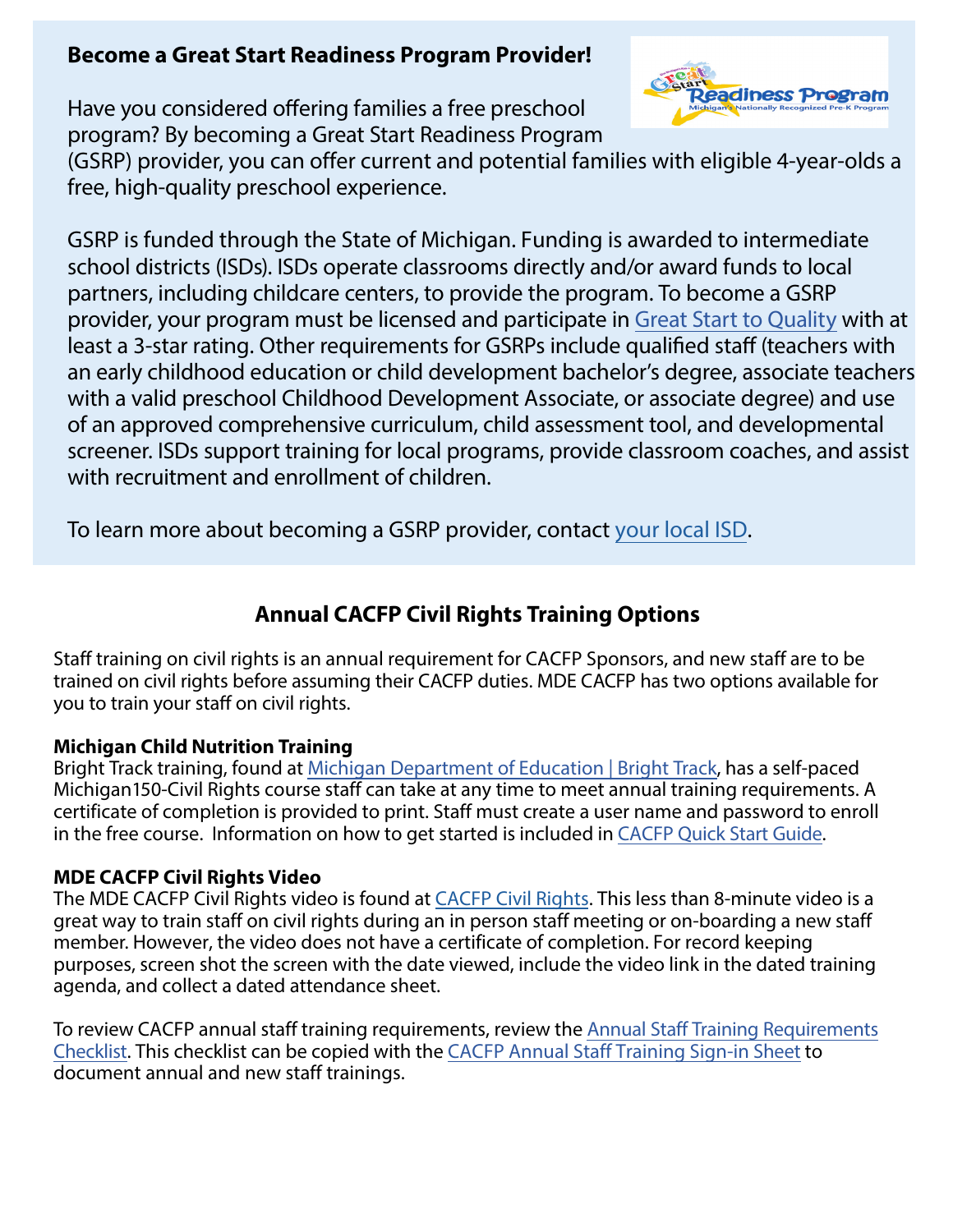## **Become a Great Start Readiness Program Provider!**

Have you considered offering families a free preschool program? By becoming a Great Start Readiness Program



(GSRP) provider, you can offer current and potential families with eligible 4-year-olds a free, high-quality preschool experience.

GSRP is funded through the State of Michigan. Funding is awarded to intermediate school districts (ISDs). ISDs operate classrooms directly and/or award funds to local partners, including childcare centers, to provide the program. To become a GSRP provider, your program must be licensed and participate in [Great Start to Quality](https://greatstarttoquality.org/) with at least a 3-star rating. Other requirements for GSRPs include qualified staff (teachers with an early childhood education or child development bachelor's degree, associate teachers with a valid preschool Childhood Development Associate, or associate degree) and use of an approved comprehensive curriculum, child assessment tool, and developmental screener. ISDs support training for local programs, provide classroom coaches, and assist with recruitment and enrollment of children.

To learn more about becoming a GSRP provider, contact [your local ISD.](https://www.michigan.gov/mde/services/early-learners-and-care/gsrp/intermediate-school-district-search-tool#z=1)

## **Annual CACFP Civil Rights Training Options**

Staff training on civil rights is an annual requirement for CACFP Sponsors, and new staff are to be trained on civil rights before assuming their CACFP duties. MDE CACFP has two options available for you to train your staff on civil rights.

#### **Michigan Child Nutrition Training**

Bright Track training, found at [Michigan Department of Education | Bright Track,](https://gcc02.safelinks.protection.outlook.com/?url=https%3A%2F%2Fmisponsortraining.com%2F&data=04%7C01%7CGalbaviT%40michigan.gov%7C0a300d726dfe4b6a1eca08d9f63c92f2%7Cd5fb7087377742ad966a892ef47225d1%7C0%7C0%7C637811562286708533%7CUnknown%7CTWFpbGZsb3d8eyJWIjoiMC4wLjAwMDAiLCJQIjoiV2luMzIiLCJBTiI6Ik1haWwiLCJXVCI6Mn0%3D%7C3000&sdata=j3aqXtGPOAUV3OPww6FbtAPKORZez4RguA3UHTLjPhk%3D&reserved=0) has a self-paced Michigan150-Civil Rights course staff can take at any time to meet annual training requirements. A certificate of completion is provided to print. Staff must create a user name and password to enroll in the free course. Information on how to get started is included in [CACFP Quick Start Guide.](https://gcc02.safelinks.protection.outlook.com/?url=https%3A%2F%2Fwww.michigan.gov%2Fdocuments%2Fmde%2FCACFP_Quick_Start_Guide_misponsortraining_692773_7.pdf&data=04%7C01%7CGalbaviT%40michigan.gov%7C0a300d726dfe4b6a1eca08d9f63c92f2%7Cd5fb7087377742ad966a892ef47225d1%7C0%7C0%7C637811562286708533%7CUnknown%7CTWFpbGZsb3d8eyJWIjoiMC4wLjAwMDAiLCJQIjoiV2luMzIiLCJBTiI6Ik1haWwiLCJXVCI6Mn0%3D%7C3000&sdata=TfA%2Bz526wCUT6bOYUcF17wUTseuiW8ZcXV8zv%2BWbpu0%3D&reserved=0)

#### **MDE CACFP Civil Rights Video**

The MDE CACFP Civil Rights video is found at [CACFP Civil Rights](https://gcc02.safelinks.protection.outlook.com/?url=https%3A%2F%2Fwww.youtube.com%2Fwatch%3Fv%3DiowTO7KNs3c%26list%3DPLQNv-MrTjyhJkfQ1ZaAlBu4pjv1YCJsfI%26index%3D2&data=04%7C01%7CGalbaviT%40michigan.gov%7C0a300d726dfe4b6a1eca08d9f63c92f2%7Cd5fb7087377742ad966a892ef47225d1%7C0%7C0%7C637811562286708533%7CUnknown%7CTWFpbGZsb3d8eyJWIjoiMC4wLjAwMDAiLCJQIjoiV2luMzIiLCJBTiI6Ik1haWwiLCJXVCI6Mn0%3D%7C3000&sdata=kOt%2BLNxSFo59eCwLFodZUr2gJKQ3dh8vw3nvaIFcUWs%3D&reserved=0). This less than 8-minute video is a great way to train staff on civil rights during an in person staff meeting or on-boarding a new staff member. However, the video does not have a certificate of completion. For record keeping purposes, screen shot the screen with the date viewed, include the video link in the dated training agenda, and collect a dated attendance sheet.

To review CACFP annual staff training requirements, review the Annual Staff Training Requirements [Checklist. This checklist can be copied with the CACFP Annual Staff Training Sign-in Sheet to](https://www.michigan.gov/mde/-/media/Project/Websites/mde/Year/2021/02/17/Annual_Staff_Training_Checklist.pdf?rev=64744c9e1d42489b9533cd50f08d7bcb&hash=93D62F09B04984A924128700A6B931FE)  document annual and new staff trainings.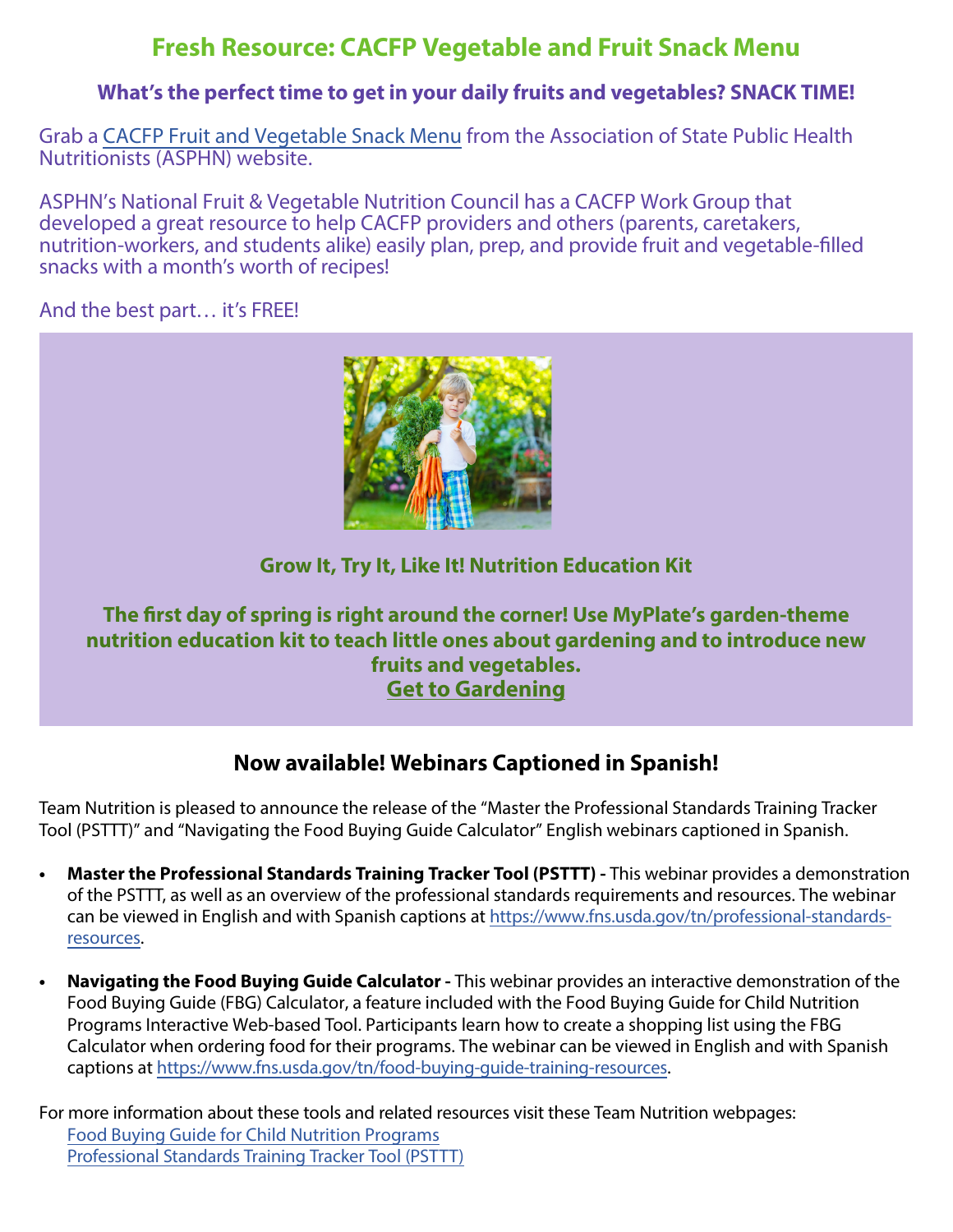## **Fresh Resource: CACFP Vegetable and Fruit Snack Menu**

#### **What's the perfect time to get in your daily fruits and vegetables? SNACK TIME!**

Grab a [CACFP Fruit and Vegetable Snack Menu](https://asphn.org/cacfp-veggie-and-fruit-snack-menu/) from the Association of State Public Health Nutritionists (ASPHN) website.

ASPHN's National Fruit & Vegetable Nutrition Council has a CACFP Work Group that developed a great resource to help CACFP providers and others (parents, caretakers, nutrition-workers, and students alike) easily plan, prep, and provide fruit and vegetable-filled snacks with a month's worth of recipes!

And the best part… it's FREE!



### **Grow It, Try It, Like It! Nutrition Education Kit**

### **The first day of spring is right around the corner! Use MyPlate's garden-theme nutrition education kit to teach little ones about gardening and to introduce new fruits and vegetables. Get to Gardening**

## **[Now available! Webinars Caption](https://gcc02.safelinks.protection.outlook.com/?url=https%3A%2F%2Fr20.rs6.net%2Ftn.jsp%3Ff%3D001RiFMqrCBf8iGnYhvvTdnuupt5Yjw6ztiggliTMyGnU3DFVkwUQ555dhH3evTAtWnTvSEw64OLWtElwFNW7fLYMeON8fGhsifOMTQhHLg7tLC7l48NzjD4u_3IJoVg3AjJQf96J1rqD1rukJDnKNgRv_I0smaSlG2vsnTXOJC04nX4YumNF-g_LdoSN7t6-wU7BmTv4Vbg-YHClydVDFyaa9YMn2eBXu3x45_zAE7EEk%3D%26c%3Dp1N9W4PnSOhcRGZ45mO80bTiivFNKkC-j3KVGUajj895qswhi5ocyA%3D%3D%26ch%3DURHlDGb8IszTn0s9HVPVIAUuRSsNE_eXRVf3P5E1fl07swBVzRI_aw%3D%3D&data=04%7C01%7CGalbaviT%40michigan.gov%7C789a6050937343f6156908da08d879d2%7Cd5fb7087377742ad966a892ef47225d1%7C0%7C0%7C637832023088364790%7CUnknown%7CTWFpbGZsb3d8eyJWIjoiMC4wLjAwMDAiLCJQIjoiV2luMzIiLCJBTiI6Ik1haWwiLCJXVCI6Mn0%3D%7C3000&sdata=jEu1Ofpn5GN2JxEOOLZd7mHIzHXew0z%2FoUEdEThJAc4%3D&reserved=0)ed in Spanish!**

Team Nutrition is pleased to announce the release of the "Master the Professional Standards Training Tracker Tool (PSTTT)" and "Navigating the Food Buying Guide Calculator" English webinars captioned in Spanish.

- **Master the Professional Standards Training Tracker Tool (PSTTT)** This webinar provides a demonstration of the PSTTT, as well as an overview of the professional standards requirements and resources. The webinar [can be viewed in English and with Spanish captions at https://www.fns.usda.gov/tn/professional-standards](https://gcc02.safelinks.protection.outlook.com/?url=https%3A%2F%2Fwww.fns.usda.gov%2Ftn%2Fprofessional-standards-resources&data=04%7C01%7Cgalbavit%40michigan.gov%7C8c8508996c484991a9ea08d9fd1c0bd0%7Cd5fb7087377742ad966a892ef47225d1%7C0%7C0%7C637819119175859223%7CUnknown%7CTWFpbGZsb3d8eyJWIjoiMC4wLjAwMDAiLCJQIjoiV2luMzIiLCJBTiI6Ik1haWwiLCJXVCI6Mn0%3D%7C3000&sdata=r2gxgGfB3eGVMbMHZ1kxGFmbpvqVFa1mWlmL1JltUZc%3D&reserved=0)resources.
- **• Navigating the Food Buying Guide Calculator -** This webinar provides an interactive demonstration of the Food Buying Guide (FBG) Calculator, a feature included with the Food Buying Guide for Child Nutrition Programs Interactive Web-based Tool. Participants learn how to create a shopping list using the FBG Calculator when ordering food for their programs. The webinar can be viewed in English and with Spanish captions at [https://www.fns.usda.gov/tn/food-buying-guide-training-resources.](https://gcc02.safelinks.protection.outlook.com/?url=https%3A%2F%2Fwww.fns.usda.gov%2Ftn%2Ffood-buying-guide-training-resources&data=04%7C01%7Cgalbavit%40michigan.gov%7C8c8508996c484991a9ea08d9fd1c0bd0%7Cd5fb7087377742ad966a892ef47225d1%7C0%7C0%7C637819119175859223%7CUnknown%7CTWFpbGZsb3d8eyJWIjoiMC4wLjAwMDAiLCJQIjoiV2luMzIiLCJBTiI6Ik1haWwiLCJXVCI6Mn0%3D%7C3000&sdata=l9OTUociRCv8V%2BL7oYyXJ%2BNATbq%2FSvgGSlpvT7abykk%3D&reserved=0)

For more information about these tools and related resources visit these Team Nutrition webpages: [Food Buying Guide for Child Nutrition Programs](https://gcc02.safelinks.protection.outlook.com/?url=https%3A%2F%2Fwww.fns.usda.gov%2Ftn%2Ffood-buying-guide-for-child-nutrition-programs&data=04%7C01%7Cgalbavit%40michigan.gov%7C8c8508996c484991a9ea08d9fd1c0bd0%7Cd5fb7087377742ad966a892ef47225d1%7C0%7C0%7C637819119175859223%7CUnknown%7CTWFpbGZsb3d8eyJWIjoiMC4wLjAwMDAiLCJQIjoiV2luMzIiLCJBTiI6Ik1haWwiLCJXVCI6Mn0%3D%7C3000&sdata=KPteH86QId%2BhzC1k32YcdoZx%2FMx68r7yYyz8PkcJz6E%3D&reserved=0) [Professional Standards](https://gcc02.safelinks.protection.outlook.com/?url=https%3A%2F%2Fpstrainingtracker.fns.usda.gov%2F&data=04%7C01%7Cgalbavit%40michigan.gov%7Cb268e5a123be4298de7808d9bbe55904%7Cd5fb7087377742ad966a892ef47225d1%7C0%7C0%7C637747415982353602%7CUnknown%7CTWFpbGZsb3d8eyJWIjoiMC4wLjAwMDAiLCJQIjoiV2luMzIiLCJBTiI6Ik1haWwiLCJXVCI6Mn0%3D%7C3000&sdata=jQ9FkhvolE%2BCPZDXEcXFRrsvheexJIwFo5IwkUcHG%2Bo%3D&reserved=0) Training Tracker Tool (PSTTT)